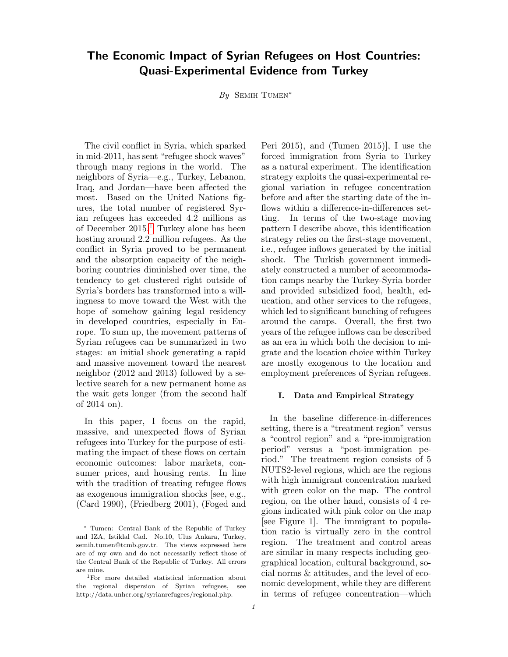# The Economic Impact of Syrian Refugees on Host Countries: Quasi-Experimental Evidence from Turkey

By SEMIH TUMEN<sup>\*</sup>

The civil conflict in Syria, which sparked in mid-2011, has sent "refugee shock waves" through many regions in the world. The neighbors of Syria—e.g., Turkey, Lebanon, Iraq, and Jordan—have been affected the most. Based on the United Nations figures, the total number of registered Syrian refugees has exceeded 4.2 millions as of December 2015.[1](#page-0-0) Turkey alone has been hosting around 2.2 million refugees. As the conflict in Syria proved to be permanent and the absorption capacity of the neighboring countries diminished over time, the tendency to get clustered right outside of Syria's borders has transformed into a willingness to move toward the West with the hope of somehow gaining legal residency in developed countries, especially in Europe. To sum up, the movement patterns of Syrian refugees can be summarized in two stages: an initial shock generating a rapid and massive movement toward the nearest neighbor (2012 and 2013) followed by a selective search for a new permanent home as the wait gets longer (from the second half of 2014 on).

In this paper, I focus on the rapid, massive, and unexpected flows of Syrian refugees into Turkey for the purpose of estimating the impact of these flows on certain economic outcomes: labor markets, consumer prices, and housing rents. In line with the tradition of treating refugee flows as exogenous immigration shocks [see, e.g., (Card 1990), (Friedberg 2001), (Foged and Peri 2015), and (Tumen 2015)], I use the forced immigration from Syria to Turkey as a natural experiment. The identification strategy exploits the quasi-experimental regional variation in refugee concentration before and after the starting date of the inflows within a difference-in-differences setting. In terms of the two-stage moving pattern I describe above, this identification strategy relies on the first-stage movement, i.e., refugee inflows generated by the initial shock. The Turkish government immediately constructed a number of accommodation camps nearby the Turkey-Syria border and provided subsidized food, health, education, and other services to the refugees, which led to significant bunching of refugees around the camps. Overall, the first two years of the refugee inflows can be described as an era in which both the decision to migrate and the location choice within Turkey are mostly exogenous to the location and employment preferences of Syrian refugees.

## I. Data and Empirical Strategy

In the baseline difference-in-differences setting, there is a "treatment region" versus a "control region" and a "pre-immigration period" versus a "post-immigration period." The treatment region consists of 5 NUTS2-level regions, which are the regions with high immigrant concentration marked with green color on the map. The control region, on the other hand, consists of 4 regions indicated with pink color on the map [see Figure 1]. The immigrant to population ratio is virtually zero in the control region. The treatment and control areas are similar in many respects including geographical location, cultural background, social norms & attitudes, and the level of economic development, while they are different in terms of refugee concentration—which

<sup>∗</sup> Tumen: Central Bank of the Republic of Turkey and IZA, Istiklal Cad. No.10, Ulus Ankara, Turkey, semih.tumen@tcmb.gov.tr. The views expressed here are of my own and do not necessarily reflect those of the Central Bank of the Republic of Turkey. All errors are mine.

<span id="page-0-0"></span><sup>1</sup>For more detailed statistical information about the regional dispersion of Syrian refugees, see http://data.unhcr.org/syrianrefugees/regional.php.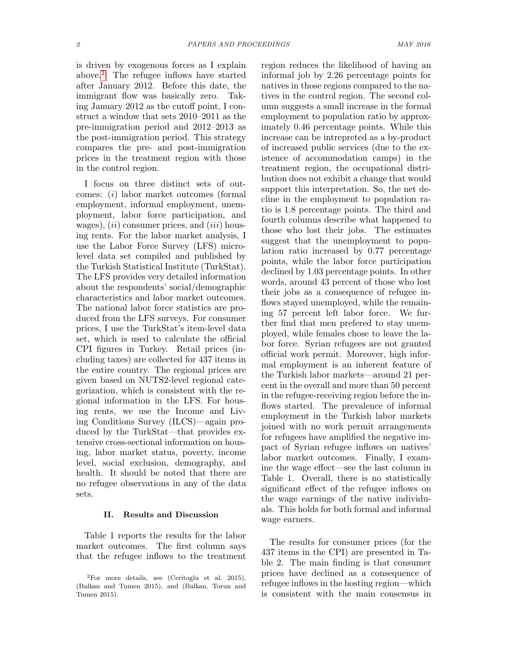is driven by exogenous forces as I explain above.[2](#page-1-0) The refugee inflows have started after January 2012. Before this date, the immigrant flow was basically zero. Taking January 2012 as the cutoff point, I construct a window that sets 2010–2011 as the pre-immigration period and 2012–2013 as the post-immigration period. This strategy compares the pre- and post-immigration prices in the treatment region with those in the control region.

I focus on three distinct sets of outcomes: (i) labor market outcomes (formal employment, informal employment, unemployment, labor force participation, and wages),  $(ii)$  consumer prices, and  $(iii)$  housing rents. For the labor market analysis, I use the Labor Force Survey (LFS) microlevel data set compiled and published by the Turkish Statistical Institute (TurkStat). The LFS provides very detailed information about the respondents' social/demographic characteristics and labor market outcomes. The national labor force statistics are produced from the LFS surveys. For consumer prices, I use the TurkStat's item-level data set, which is used to calculate the official CPI figures in Turkey. Retail prices (including taxes) are collected for 437 items in the entire country. The regional prices are given based on NUTS2-level regional categorization, which is consistent with the regional information in the LFS. For housing rents, we use the Income and Living Conditions Survey (ILCS)—again produced by the TurkStat—that provides extensive cross-sectional information on housing, labor market status, poverty, income level, social exclusion, demography, and health. It should be noted that there are no refugee observations in any of the data sets.

# II. Results and Discussion

Table 1 reports the results for the labor market outcomes. The first column says that the refugee inflows to the treatment region reduces the likelihood of having an informal job by 2.26 percentage points for natives in those regions compared to the natives in the control region. The second column suggests a small increase in the formal employment to population ratio by approximately 0.46 percentage points. While this increase can be intrepreted as a by-product of increased public services (due to the existence of accommodation camps) in the treatment region, the occupational distribution does not exhibit a change that would support this interpretation. So, the net decline in the employment to population ratio is 1.8 percentage points. The third and fourth columns describe what happened to those who lost their jobs. The estimates suggest that the unemployment to population ratio increased by 0.77 percentage points, while the labor force participation declined by 1.03 percentage points. In other words, around 43 percent of those who lost their jobs as a consequence of refugee inflows stayed unemployed, while the remaining 57 percent left labor force. We further find that men prefered to stay unemployed, while females chose to leave the labor force. Syrian refugees are not granted official work permit. Moreover, high informal employment is an inherent feature of the Turkish labor markets—around 21 percent in the overall and more than 50 percent in the refugee-receiving region before the inflows started. The prevalence of informal employment in the Turkish labor markets joined with no work permit arrangements for refugees have amplified the negative impact of Syrian refugee inflows on natives' labor market outcomes. Finally, I examine the wage effect—see the last column in Table 1. Overall, there is no statistically significant effect of the refugee inflows on the wage earnings of the native individuals. This holds for both formal and informal wage earners.

The results for consumer prices (for the 437 items in the CPI) are presented in Table 2. The main finding is that consumer prices have declined as a consequence of refugee inflows in the hosting region—which is consistent with the main consensus in

<span id="page-1-0"></span> ${}^{2}$ For more details, see (Ceritoglu et al. 2015), (Balkan and Tumen 2015), and (Balkan, Torun and Tumen 2015).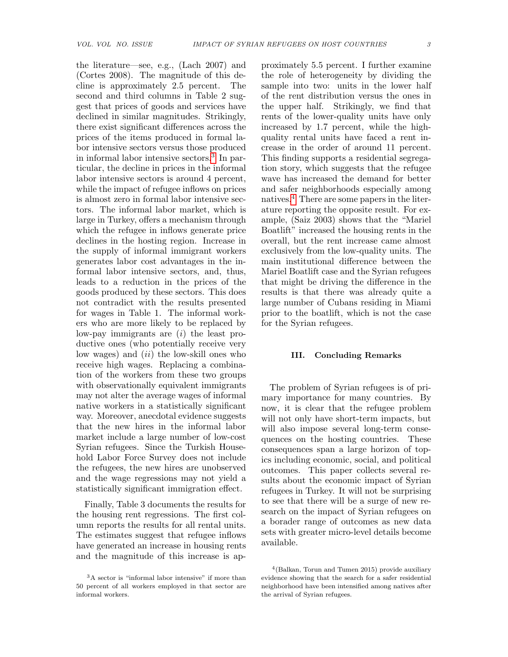the literature—see, e.g., (Lach 2007) and (Cortes 2008). The magnitude of this decline is approximately 2.5 percent. The second and third columns in Table 2 suggest that prices of goods and services have declined in similar magnitudes. Strikingly, there exist significant differences across the prices of the items produced in formal labor intensive sectors versus those produced in informal labor intensive sectors.[3](#page-2-0) In particular, the decline in prices in the informal labor intensive sectors is around 4 percent, while the impact of refugee inflows on prices is almost zero in formal labor intensive sectors. The informal labor market, which is large in Turkey, offers a mechanism through which the refugee in inflows generate price declines in the hosting region. Increase in the supply of informal immigrant workers generates labor cost advantages in the informal labor intensive sectors, and, thus, leads to a reduction in the prices of the goods produced by these sectors. This does not contradict with the results presented for wages in Table 1. The informal workers who are more likely to be replaced by low-pay immigrants are  $(i)$  the least productive ones (who potentially receive very low wages) and  $(ii)$  the low-skill ones who receive high wages. Replacing a combination of the workers from these two groups with observationally equivalent immigrants may not alter the average wages of informal native workers in a statistically significant way. Moreover, anecdotal evidence suggests that the new hires in the informal labor market include a large number of low-cost Syrian refugees. Since the Turkish Household Labor Force Survey does not include the refugees, the new hires are unobserved and the wage regressions may not yield a statistically significant immigration effect.

Finally, Table 3 documents the results for the housing rent regressions. The first column reports the results for all rental units. The estimates suggest that refugee inflows have generated an increase in housing rents and the magnitude of this increase is approximately 5.5 percent. I further examine the role of heterogeneity by dividing the sample into two: units in the lower half of the rent distribution versus the ones in the upper half. Strikingly, we find that rents of the lower-quality units have only increased by 1.7 percent, while the highquality rental units have faced a rent increase in the order of around 11 percent. This finding supports a residential segregation story, which suggests that the refugee wave has increased the demand for better and safer neighborhoods especially among natives.[4](#page-2-1) There are some papers in the literature reporting the opposite result. For example, (Saiz 2003) shows that the "Mariel Boatlift" increased the housing rents in the overall, but the rent increase came almost exclusively from the low-quality units. The main institutional difference between the Mariel Boatlift case and the Syrian refugees that might be driving the difference in the results is that there was already quite a large number of Cubans residing in Miami prior to the boatlift, which is not the case for the Syrian refugees.

## III. Concluding Remarks

The problem of Syrian refugees is of primary importance for many countries. By now, it is clear that the refugee problem will not only have short-term impacts, but will also impose several long-term consequences on the hosting countries. These consequences span a large horizon of topics including economic, social, and political outcomes. This paper collects several results about the economic impact of Syrian refugees in Turkey. It will not be surprising to see that there will be a surge of new research on the impact of Syrian refugees on a borader range of outcomes as new data sets with greater micro-level details become available.

<span id="page-2-0"></span><sup>3</sup>A sector is "informal labor intensive" if more than 50 percent of all workers employed in that sector are informal workers.

<span id="page-2-1"></span><sup>4</sup> (Balkan, Torun and Tumen 2015) provide auxiliary evidence showing that the search for a safer residential neighborhood have been intensified among natives after the arrival of Syrian refugees.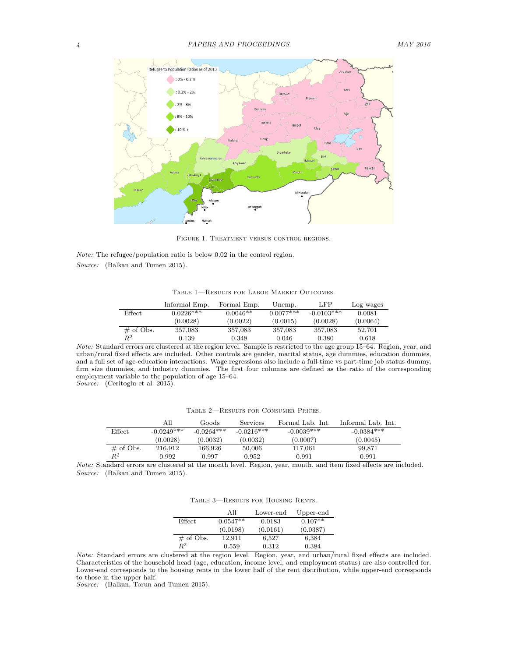

Figure 1. Treatment versus control regions.

Note: The refugee/population ratio is below 0.02 in the control region. Source: (Balkan and Tumen 2015).

Table 1—Results for Labor Market Outcomes.

|              | Informal Emp. | Formal Emp. | Unemp.      | LFP          | Log wages |
|--------------|---------------|-------------|-------------|--------------|-----------|
| Effect       | $0.0226***$   | $0.0046**$  | $0.0077***$ | $-0.0103***$ | 0.0081    |
|              | (0.0028)      | (0.0022)    | (0.0015)    | (0.0028)     | (0.0064)  |
| $\#$ of Obs. | 357,083       | 357,083     | 357,083     | 357,083      | 52,701    |
| $\,R^2$      | 0.139         | 0.348       | 0.046       | 0.380        | 0.618     |

Note: Standard errors are clustered at the region level. Sample is restricted to the age group 15–64. Region, year, and urban/rural fixed effects are included. Other controls are gender, marital status, age dummies, education dummies, and a full set of age-education interactions. Wage regressions also include a full-time vs part-time job status dummy, firm size dummies, and industry dummies. The first four columns are defined as the ratio of the corresponding employment variable to the population of age 15–64.

Source: (Ceritoglu et al. 2015).

Table 2—Results for Consumer Prices.

|               | All          | Goods        | Services     | Formal Lab. Int. | Informal Lab. Int. |
|---------------|--------------|--------------|--------------|------------------|--------------------|
| <b>Effect</b> | $-0.0249***$ | $-0.0264***$ | $-0.0216***$ | $-0.0039***$     | $-0.0384***$       |
|               | (0.0028)     | (0.0032)     | (0.0032)     | (0.0007)         | (0.0045)           |
| $\#$ of Obs.  | 216.912      | 166.926      | 50,006       | 117,061          | 99,871             |
| $R^2$         | 0.992        | 0.997        | 0.952        | 0.991            | 0.991              |

Note: Standard errors are clustered at the month level. Region, year, month, and item fixed effects are included. Source: (Balkan and Tumen 2015).

| TABLE 3-RESULTS FOR HOUSING RENTS. |  |  |  |
|------------------------------------|--|--|--|
|------------------------------------|--|--|--|

|              | All        | Lower-end | Upper-end |
|--------------|------------|-----------|-----------|
| Effect       | $0.0547**$ | 0.0183    | $0.107**$ |
|              | (0.0198)   | (0.0161)  | (0.0387)  |
| $\#$ of Obs. | 12.911     | 6,527     | 6,384     |
| $R^2$        | 0.559      | 0.312     | 0.384     |

Note: Standard errors are clustered at the region level. Region, year, and urban/rural fixed effects are included. Characteristics of the household head (age, education, income level, and employment status) are also controlled for. Lower-end corresponds to the housing rents in the lower half of the rent distribution, while upper-end corresponds to those in the upper half.

Source: (Balkan, Torun and Tumen 2015).